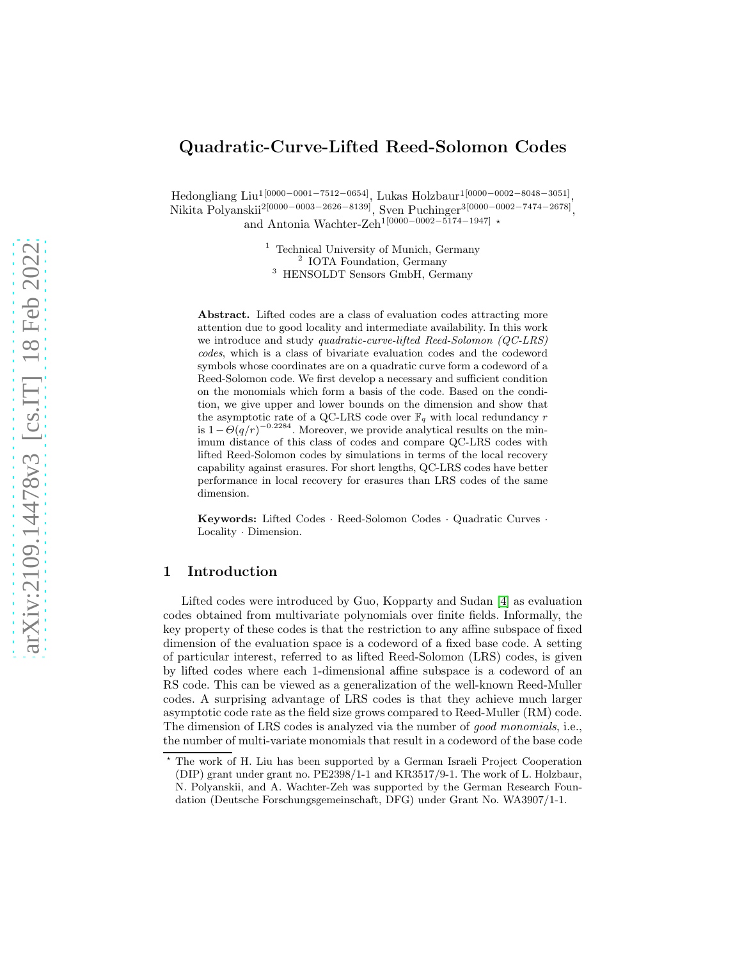# Quadratic-Curve-Lifted Reed-Solomon Codes

Hedongliang Liu1[0000−0001−7512−0654], Lukas Holzbaur1[0000−0002−8048−3051] , Nikita Polyanskii<sup>2[0000–0003–2626–8139]</sup>, Sven Puchinger<sup>3[0000–0002–7474–2678]</sup>, and Antonia Wachter-Zeh<sup>1[0000</sup>−0002−5174−1947] \*

> <sup>1</sup> Technical University of Munich, Germany 2 IOTA Foundation, Germany <sup>3</sup> HENSOLDT Sensors GmbH, Germany

Abstract. Lifted codes are a class of evaluation codes attracting more attention due to good locality and intermediate availability. In this work we introduce and study *quadratic-curve-lifted Reed-Solomon (QC-LRS)* codes, which is a class of bivariate evaluation codes and the codeword symbols whose coordinates are on a quadratic curve form a codeword of a Reed-Solomon code. We first develop a necessary and sufficient condition on the monomials which form a basis of the code. Based on the condition, we give upper and lower bounds on the dimension and show that the asymptotic rate of a QC-LRS code over  $\mathbb{F}_q$  with local redundancy  $r$ is  $1-\Theta(q/r)^{-0.2284}$ . Moreover, we provide analytical results on the minimum distance of this class of codes and compare QC-LRS codes with lifted Reed-Solomon codes by simulations in terms of the local recovery capability against erasures. For short lengths, QC-LRS codes have better performance in local recovery for erasures than LRS codes of the same dimension.

Keywords: Lifted Codes · Reed-Solomon Codes · Quadratic Curves · Locality · Dimension.

## 1 Introduction

Lifted codes were introduced by Guo, Kopparty and Sudan [\[4\]](#page-14-0) as evaluation codes obtained from multivariate polynomials over finite fields. Informally, the key property of these codes is that the restriction to any affine subspace of fixed dimension of the evaluation space is a codeword of a fixed base code. A setting of particular interest, referred to as lifted Reed-Solomon (LRS) codes, is given by lifted codes where each 1-dimensional affine subspace is a codeword of an RS code. This can be viewed as a generalization of the well-known Reed-Muller codes. A surprising advantage of LRS codes is that they achieve much larger asymptotic code rate as the field size grows compared to Reed-Muller (RM) code. The dimension of LRS codes is analyzed via the number of good monomials, i.e., the number of multi-variate monomials that result in a codeword of the base code

<sup>⋆</sup> The work of H. Liu has been supported by a German Israeli Project Cooperation (DIP) grant under grant no. PE2398/1-1 and KR3517/9-1. The work of L. Holzbaur, N. Polyanskii, and A. Wachter-Zeh was supported by the German Research Foundation (Deutsche Forschungsgemeinschaft, DFG) under Grant No. WA3907/1-1.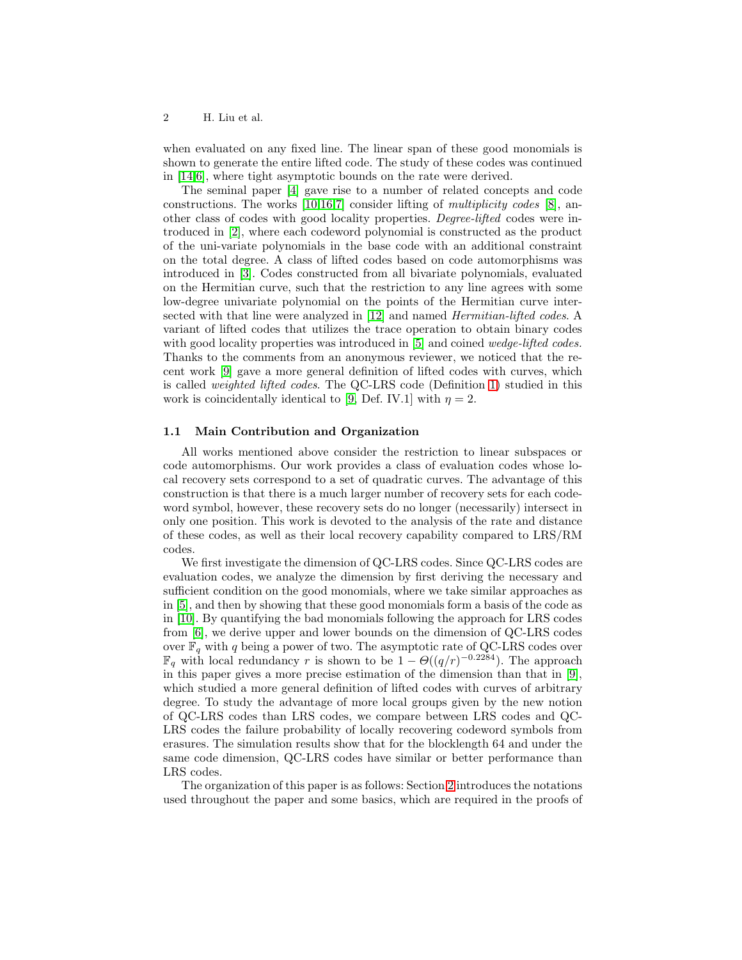when evaluated on any fixed line. The linear span of these good monomials is shown to generate the entire lifted code. The study of these codes was continued in [\[14,](#page-15-0)[6\]](#page-14-1), where tight asymptotic bounds on the rate were derived.

The seminal paper [\[4\]](#page-14-0) gave rise to a number of related concepts and code constructions. The works [\[10](#page-14-2)[,16](#page-15-1)[,7\]](#page-14-3) consider lifting of multiplicity codes [\[8\]](#page-14-4), another class of codes with good locality properties. Degree-lifted codes were introduced in [\[2\]](#page-14-5), where each codeword polynomial is constructed as the product of the uni-variate polynomials in the base code with an additional constraint on the total degree. A class of lifted codes based on code automorphisms was introduced in [\[3\]](#page-14-6). Codes constructed from all bivariate polynomials, evaluated on the Hermitian curve, such that the restriction to any line agrees with some low-degree univariate polynomial on the points of the Hermitian curve inter-sected with that line were analyzed in [\[12\]](#page-14-7) and named *Hermitian-lifted codes*. A variant of lifted codes that utilizes the trace operation to obtain binary codes with good locality properties was introduced in [\[5\]](#page-14-8) and coined wedge-lifted codes. Thanks to the comments from an anonymous reviewer, we noticed that the recent work [\[9\]](#page-14-9) gave a more general definition of lifted codes with curves, which is called weighted lifted codes. The QC-LRS code (Definition [1\)](#page-2-0) studied in this work is coincidentally identical to [\[9,](#page-14-9) Def. IV.1] with  $\eta = 2$ .

#### 1.1 Main Contribution and Organization

All works mentioned above consider the restriction to linear subspaces or code automorphisms. Our work provides a class of evaluation codes whose local recovery sets correspond to a set of quadratic curves. The advantage of this construction is that there is a much larger number of recovery sets for each codeword symbol, however, these recovery sets do no longer (necessarily) intersect in only one position. This work is devoted to the analysis of the rate and distance of these codes, as well as their local recovery capability compared to LRS/RM codes.

We first investigate the dimension of QC-LRS codes. Since QC-LRS codes are evaluation codes, we analyze the dimension by first deriving the necessary and sufficient condition on the good monomials, where we take similar approaches as in [\[5\]](#page-14-8), and then by showing that these good monomials form a basis of the code as in [\[10\]](#page-14-2). By quantifying the bad monomials following the approach for LRS codes from [\[6\]](#page-14-1), we derive upper and lower bounds on the dimension of QC-LRS codes over  $\mathbb{F}_q$  with q being a power of two. The asymptotic rate of QC-LRS codes over  $\mathbb{F}_q$  with local redundancy r is shown to be  $1 - \Theta((q/r)^{-0.2284})$ . The approach in this paper gives a more precise estimation of the dimension than that in [\[9\]](#page-14-9), which studied a more general definition of lifted codes with curves of arbitrary degree. To study the advantage of more local groups given by the new notion of QC-LRS codes than LRS codes, we compare between LRS codes and QC-LRS codes the failure probability of locally recovering codeword symbols from erasures. The simulation results show that for the blocklength 64 and under the same code dimension, QC-LRS codes have similar or better performance than LRS codes.

The organization of this paper is as follows: Section [2](#page-2-1) introduces the notations used throughout the paper and some basics, which are required in the proofs of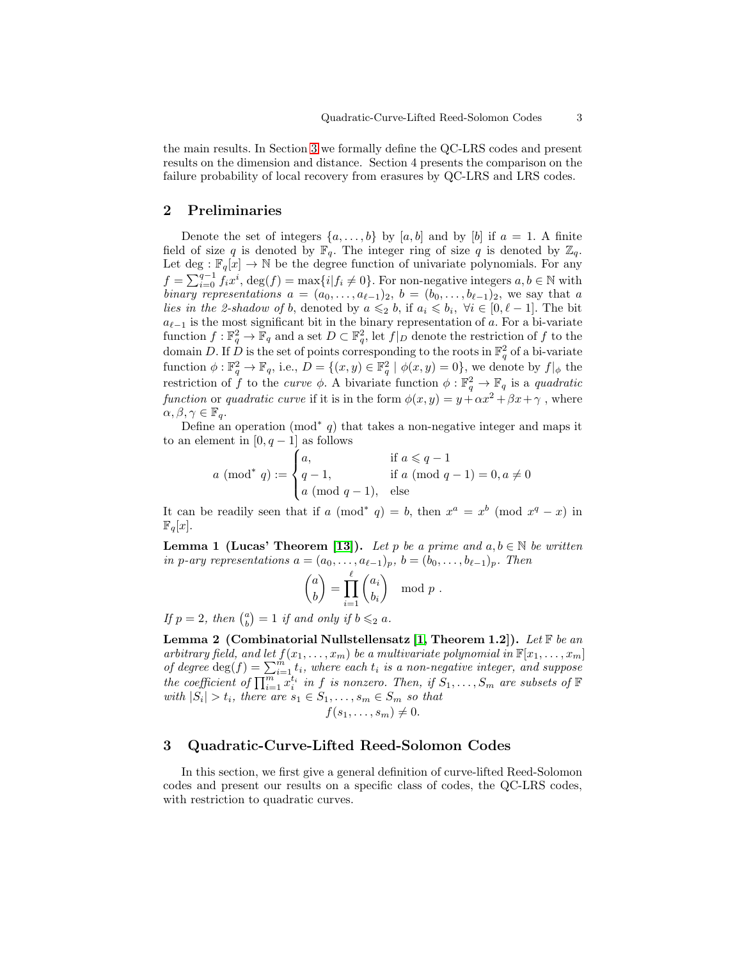the main results. In Section [3](#page-2-2) we formally define the QC-LRS codes and present results on the dimension and distance. Section 4 presents the comparison on the failure probability of local recovery from erasures by QC-LRS and LRS codes.

### <span id="page-2-1"></span>2 Preliminaries

Denote the set of integers  $\{a, \ldots, b\}$  by  $[a, b]$  and by  $[b]$  if  $a = 1$ . A finite field of size q is denoted by  $\mathbb{F}_q$ . The integer ring of size q is denoted by  $\mathbb{Z}_q$ . Let deg :  $\mathbb{F}_q[x] \to \mathbb{N}$  be the degree function of univariate polynomials. For any  $f = \sum_{i=0}^{q-1} f_i x^i$ ,  $\deg(f) = \max\{i | f_i \neq 0\}$ . For non-negative integers  $a, b \in \mathbb{N}$  with binary representations  $a = (a_0, \ldots, a_{\ell-1})_2$ ,  $b = (b_0, \ldots, b_{\ell-1})_2$ , we say that a lies in the 2-shadow of b, denoted by  $a \leq b$ , if  $a_i \leq b_i$ ,  $\forall i \in [0, \ell - 1]$ . The bit  $a_{\ell-1}$  is the most significant bit in the binary representation of a. For a bi-variate function  $f: \mathbb{F}_q^2 \to \mathbb{F}_q$  and a set  $D \subset \mathbb{F}_q^2$ , let  $f|_D$  denote the restriction of f to the domain D. If  $\hat{D}$  is the set of points corresponding to the roots in  $\mathbb{F}_q^2$  of a bi-variate function  $\phi: \mathbb{F}_q^2 \to \mathbb{F}_q$ , i.e.,  $D = \{(x, y) \in \mathbb{F}_q^2 \mid \phi(x, y) = 0\}$ , we denote by  $f|_{\phi}$  the restriction of f to the *curve*  $\phi$ . A bivariate function  $\phi : \mathbb{F}_q^2 \to \mathbb{F}_q$  is a *quadratic* function or quadratic curve if it is in the form  $\phi(x, y) = y + \alpha x^2 + \beta x + \gamma$ , where  $\alpha, \beta, \gamma \in \mathbb{F}_q$ .

Define an operation (mod<sup>\*</sup> q) that takes a non-negative integer and maps it to an element in  $[0, q-1]$  as follows

> $a \pmod{^* q} :=$  $\sqrt{ }$  $\int$  $\mathcal{L}$ a, if  $a \leqslant q - 1$ q − 1, if a (mod  $q - 1$ ) = 0,  $a \neq 0$  $a \pmod{q-1}$ , else

It can be readily seen that if  $a \pmod{q} = b$ , then  $x^a = x^b \pmod{x^q - x}$  in  $\mathbb{F}_q[x]$ .

<span id="page-2-3"></span>**Lemma 1 (Lucas' Theorem [\[13\]](#page-14-10)).** Let p be a prime and  $a, b \in \mathbb{N}$  be written in p-ary representations  $a = (a_0, \ldots, a_{\ell-1})_p$ ,  $b = (b_0, \ldots, b_{\ell-1})_p$ . Then

$$
\binom{a}{b} = \prod_{i=1}^{\ell} \binom{a_i}{b_i} \mod p.
$$

If  $p = 2$ , then  $\binom{a}{b} = 1$  if and only if  $b \leqslant_2 a$ .

<span id="page-2-4"></span>Lemma 2 (Combinatorial Nullstellensatz [\[1,](#page-13-0) Theorem 1.2]). Let  $\mathbb F$  be an arbitrary field, and let  $f(x_1, \ldots, x_m)$  be a multivariate polynomial in  $\mathbb{F}[x_1, \ldots, x_m]$ of degree  $\deg(f) = \sum_{i=1}^{m} t_i$ , where each  $t_i$  is a non-negative integer, and suppose the coefficient of  $\prod_{i=1}^{m} x_i^{t_i}$  in f is nonzero. Then, if  $S_1, \ldots, S_m$  are subsets of  $\mathbb F$ with  $|S_i| > t_i$ , there are  $s_1 \in S_1, \ldots, s_m \in S_m$  so that  $f(s_1, \ldots, s_m) \neq 0.$ 

# <span id="page-2-2"></span>3 Quadratic-Curve-Lifted Reed-Solomon Codes

<span id="page-2-0"></span>In this section, we first give a general definition of curve-lifted Reed-Solomon codes and present our results on a specific class of codes, the QC-LRS codes, with restriction to quadratic curves.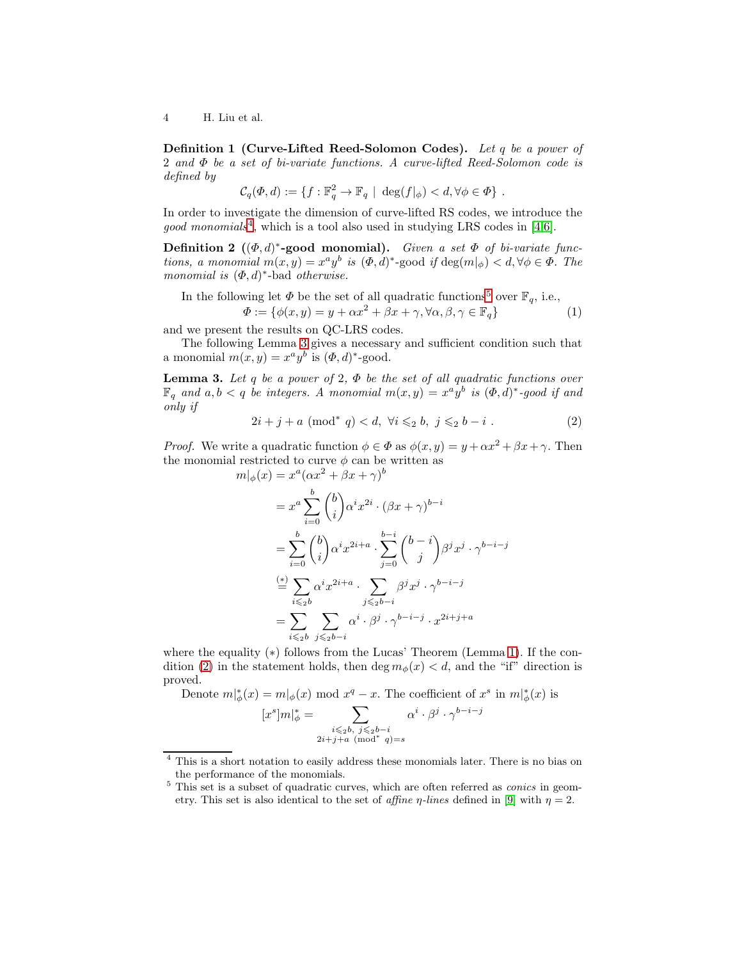Definition 1 (Curve-Lifted Reed-Solomon Codes). Let q be a power of 2 and Φ be a set of bi-variate functions. A curve-lifted Reed-Solomon code is defined by

<span id="page-3-4"></span>
$$
\mathcal{C}_q(\varPhi,d):=\{f:\mathbb{F}_q^2\to \mathbb{F}_q\,\,|\,\, \deg(f|_\phi)
$$

In order to investigate the dimension of curve-lifted RS codes, we introduce the good monomials<sup>[4](#page-3-0)</sup>, which is a tool also used in studying LRS codes in [\[4](#page-14-0)[,6\]](#page-14-1).

**Definition 2**  $((\Phi, d)^*$ -good monomial). Given a set  $\Phi$  of bi-variate functions, a monomial  $m(x, y) = x^a y^b$  is  $(\Phi, d)^*$ -good if  $\deg(m|_{\phi}) < d, \forall \phi \in \Phi$ . The monomial is  $(\Phi, d)^*$ -bad otherwise.

In the following let  $\Phi$  be the set of all quadratic functions<sup>[5](#page-3-1)</sup> over  $\mathbb{F}_q$ , i.e.,

$$
\Phi := \{ \phi(x, y) = y + \alpha x^2 + \beta x + \gamma, \forall \alpha, \beta, \gamma \in \mathbb{F}_q \}
$$
(1)

and we present the results on QC-LRS codes.

The following Lemma [3](#page-3-2) gives a necessary and sufficient condition such that a monomial  $m(x, y) = x^a y^b$  is  $(\Phi, d)^*$ -good.

**Lemma 3.** Let q be a power of 2,  $\Phi$  be the set of all quadratic functions over  $\mathbb{F}_q$  and  $a, b < q$  be integers. A monomial  $m(x, y) = x^a y^b$  is  $(\Phi, d)^*$ -good if and only if

<span id="page-3-3"></span><span id="page-3-2"></span>
$$
2i + j + a \pmod{^* q} < d, \ \forall i \leqslant_2 b, \ j \leqslant_2 b - i \tag{2}
$$

*Proof.* We write a quadratic function  $\phi \in \Phi$  as  $\phi(x, y) = y + \alpha x^2 + \beta x + \gamma$ . Then the monomial restricted to curve  $\phi$  can be written as

$$
m|_{\phi}(x) = x^{a}(\alpha x^{2} + \beta x + \gamma)^{b}
$$
  
\n
$$
= x^{a} \sum_{i=0}^{b} {b \choose i} \alpha^{i} x^{2i} \cdot (\beta x + \gamma)^{b-i}
$$
  
\n
$$
= \sum_{i=0}^{b} {b \choose i} \alpha^{i} x^{2i+a} \cdot \sum_{j=0}^{b-i} {b-i \choose j} \beta^{j} x^{j} \cdot \gamma^{b-i-j}
$$
  
\n
$$
\stackrel{(*)}{=} \sum_{i \leq b} \alpha^{i} x^{2i+a} \cdot \sum_{j \leq b-i} \beta^{j} x^{j} \cdot \gamma^{b-i-j}
$$
  
\n
$$
= \sum_{i \leq b} \sum_{j \leq b-i} \alpha^{i} \cdot \beta^{j} \cdot \gamma^{b-i-j} \cdot x^{2i+j+a}
$$

where the equality  $(*)$  follows from the Lucas' Theorem (Lemma [1\)](#page-2-3). If the con-dition [\(2\)](#page-3-3) in the statement holds, then deg  $m_{\phi}(x) < d$ , and the "if" direction is proved.

Denote 
$$
m|_{\phi}^*(x) = m|_{\phi}(x) \mod x^q - x
$$
. The coefficient of  $x^s$  in  $m|_{\phi}^*(x)$  is\n
$$
[x^s]m|_{\phi}^* = \sum_{\alpha^i} \alpha^i \cdot \beta^j \cdot \gamma^{b-i-j}
$$

$$
[x^s]m|_\phi^* = \sum_{\substack{i \leqslant_2b, \ j \leqslant_2b - i \\ 2i + j + a \pmod*{q}}}\alpha^i \cdot \beta^j \cdot \gamma^{b - i - j}
$$

<sup>4</sup> This is a short notation to easily address these monomials later. There is no bias on the performance of the monomials.

<span id="page-3-1"></span><span id="page-3-0"></span><sup>&</sup>lt;sup>5</sup> This set is a subset of quadratic curves, which are often referred as *conics* in geometry. This set is also identical to the set of affine  $\eta$ -lines defined in [\[9\]](#page-14-9) with  $\eta = 2$ .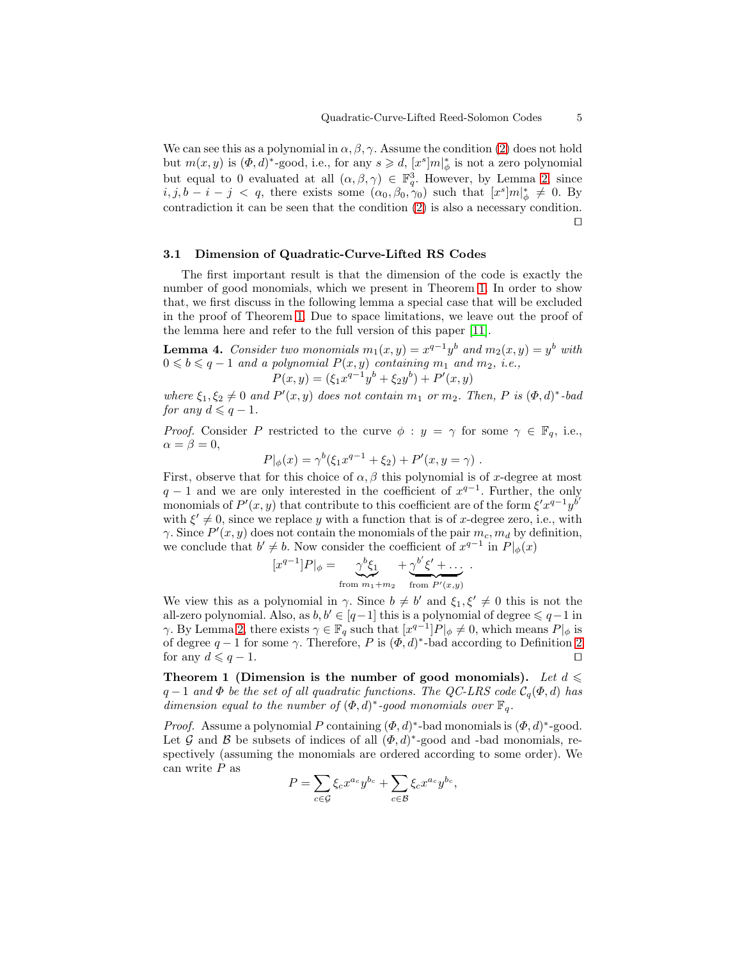We can see this as a polynomial in  $\alpha, \beta, \gamma$ . Assume the condition [\(2\)](#page-3-3) does not hold but  $m(x, y)$  is  $(\Phi, d)^*$ -good, i.e., for any  $s \geq d$ ,  $[x^s]m|_{\phi}^*$  is not a zero polynomial but equal to 0 evaluated at all  $(\alpha, \beta, \gamma) \in \mathbb{F}_q^3$ . However, by Lemma [2,](#page-2-4) since  $i, j, b - i - j < q$ , there exists some  $(\alpha_0, \beta_0, \gamma_0)$  such that  $[x^s]m|_{\phi}^* \neq 0$ . By contradiction it can be seen that the condition [\(2\)](#page-3-3) is also a necessary condition. ⊓⊔

#### 3.1 Dimension of Quadratic-Curve-Lifted RS Codes

The first important result is that the dimension of the code is exactly the number of good monomials, which we present in Theorem [1.](#page-4-0) In order to show that, we first discuss in the following lemma a special case that will be excluded in the proof of Theorem [1.](#page-4-0) Due to space limitations, we leave out the proof of the lemma here and refer to the full version of this paper [\[11\]](#page-14-11).

**Lemma 4.** Consider two monomials  $m_1(x, y) = x^{q-1}y^b$  and  $m_2(x, y) = y^b$  with  $0 \leq b \leq q-1$  and a polynomial  $P(x, y)$  containing  $m_1$  and  $m_2$ , i.e.,<br> $P(x, y) = (\xi_1 x^{q-1} y^b + \xi_2 y^b) + P'(x, y)$ 

<span id="page-4-1"></span>
$$
P(x, y) = (\xi_1 x^{q-1} y^b + \xi_2 y^b) + P'(x, y)
$$

where  $\xi_1, \xi_2 \neq 0$  and  $P'(x, y)$  does not contain  $m_1$  or  $m_2$ . Then, P is  $(\Phi, d)^*$ -bad for any  $d \leqslant q-1$ .

*Proof.* Consider P restricted to the curve  $\phi : y = \gamma$  for some  $\gamma \in \mathbb{F}_q$ , i.e.,  $\alpha = \beta = 0$ ,

 $P|_{\phi}(x) = \gamma^{b}(\xi_1 x^{q-1} + \xi_2) + P'(x, y = \gamma)$ .

First, observe that for this choice of  $\alpha$ ,  $\beta$  this polynomial is of x-degree at most  $q-1$  and we are only interested in the coefficient of  $x^{q-1}$ . Further, the only monomials of  $P'(x, y)$  that contribute to this coefficient are of the form  $\xi' x^{q-1} y^{b'}$ with  $\xi' \neq 0$ , since we replace y with a function that is of x-degree zero, i.e., with  $\gamma$ . Since  $P'(x, y)$  does not contain the monomials of the pair  $m_c, m_d$  by definition, we conclude that  $b' \neq b$ . Now consider the coefficient of  $x^{q-1}$  in  $P|_{\phi}(x)$ 

$$
[x^{q-1}]P|_{\phi} = \underbrace{\gamma^b \xi_1}_{\text{from } m_1 + m_2} + \underbrace{\gamma^{b'} \xi' + \dots}_{\text{from } P'(x,y)}.
$$

We view this as a polynomial in  $\gamma$ . Since  $b \neq b'$  and  $\xi_1, \xi' \neq 0$  this is not the all-zero polynomial. Also, as  $b, b' \in [q-1]$  this is a polynomial of degree  $\leqslant q-1$  in  $\gamma$ . By Lemma [2,](#page-2-4) there exists  $\gamma \in \mathbb{F}_q$  such that  $[x^{q-1}]P|_{\phi} \neq 0$ , which means  $P|_{\phi}$  is of degree  $q-1$  for some  $\gamma$ . Therefore, P is  $(\Phi, d)^*$ -bad according to Definition [2](#page-3-4) for any  $d \leqslant q - 1$ . □

<span id="page-4-0"></span>Theorem 1 (Dimension is the number of good monomials). Let  $d \leq$  $q-1$  and  $\Phi$  be the set of all quadratic functions. The QC-LRS code  $\mathcal{C}_q(\Phi, d)$  has dimension equal to the number of  $(\Phi, d)^*$ -good monomials over  $\mathbb{F}_q$ .

*Proof.* Assume a polynomial P containing  $(\Phi, d)^*$ -bad monomials is  $(\Phi, d)^*$ -good. Let G and B be subsets of indices of all  $(\Phi, d)^*$ -good and -bad monomials, respectively (assuming the monomials are ordered according to some order). We can write  $P$  as

$$
P = \sum_{c \in \mathcal{G}} \xi_c x^{a_c} y^{b_c} + \sum_{c \in \mathcal{B}} \xi_c x^{a_c} y^{b_c},
$$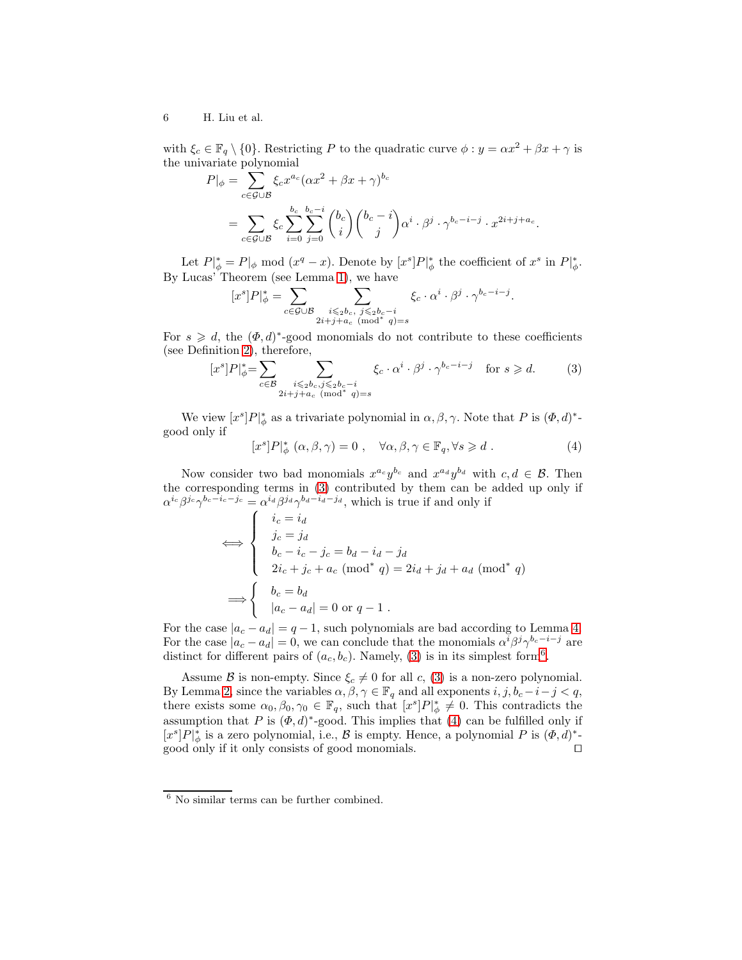with  $\xi_c \in \mathbb{F}_q \setminus \{0\}$ . Restricting P to the quadratic curve  $\phi : y = \alpha x^2 + \beta x + \gamma$  is the univariate polynomial

$$
P|_{\phi} = \sum_{c \in \mathcal{G} \cup \mathcal{B}} \xi_c x^{a_c} (\alpha x^2 + \beta x + \gamma)^{b_c}
$$
  
= 
$$
\sum_{c \in \mathcal{G} \cup \mathcal{B}} \xi_c \sum_{i=0}^{b_c} \sum_{j=0}^{b_c - i} {b_c \choose i} {b_c - i \choose j} \alpha^i \cdot \beta^j \cdot \gamma^{b_c - i - j} \cdot x^{2i + j + a_c}.
$$

Let  $P|_{\phi}^* = P|_{\phi} \mod (x^q - x)$ . Denote by  $[x^s]P|_{\phi}^*$  the coefficient of  $x^s$  in  $P|_{\phi}^*$ . By Lucas' Theorem (see Lemma [1\)](#page-2-3), we have

$$
[x^s]P|_\phi^*=\sum_{c\in\mathcal{G}\cup\mathcal{B}}\sum_{\substack{i\leqslant_2b_c,\ j\leqslant_2b_c-i\\ 2i+j+a_c\pmod*{q}=s}}\xi_c\cdot\alpha^i\cdot\beta^j\cdot\gamma^{b_c-i-j}
$$

For  $s \geq d$ , the  $(\Phi, d)^*$ -good monomials do not contribute to these coefficients (see Definition [2\)](#page-3-4), therefore,

$$
[x^s]P|_{\phi}^* = \sum_{c \in \mathcal{B}} \sum_{\substack{i \leqslant 2b_c, j \leqslant 2b_c - i \\ 2i + j + a_c \pmod{^s q}}}\xi_c \cdot \alpha^i \cdot \beta^j \cdot \gamma^{b_c - i - j} \quad \text{for } s \geqslant d. \tag{3}
$$

We view  $[x^s]P|_{\phi}^*$  as a trivariate polynomial in  $\alpha, \beta, \gamma$ . Note that P is  $(\Phi, d)^*$ good only if

$$
[x^s]P|_{\phi}^* (\alpha, \beta, \gamma) = 0 , \quad \forall \alpha, \beta, \gamma \in \mathbb{F}_q, \forall s \geq d . \tag{4}
$$

<span id="page-5-2"></span><span id="page-5-0"></span>.

Now consider two bad monomials  $x^{a_c}y^{b_c}$  and  $x^{a_d}y^{b_d}$  with  $c, d \in \mathcal{B}$ . Then the corresponding terms in [\(3\)](#page-5-0) contributed by them can be added up only if  $\alpha^{i_c}\beta^{j_c}\gamma^{b_c-i_c-j_c}=\alpha^{i_d}\beta^{j_d}\gamma^{b_d-i_d-j_d}$ , which is true if and only if

$$
\iff \begin{cases} i_c = i_d \\ j_c = j_d \\ b_c - i_c - j_c = b_d - i_d - j_d \\ 2i_c + j_c + a_c \pmod{^* q} = 2i_d + j_d + a_d \pmod{^* q} \\ b_c = b_d \\ |a_c - a_d| = 0 \text{ or } q - 1 \end{cases}
$$

For the case  $|a_c - a_d| = q - 1$ , such polynomials are bad according to Lemma [4.](#page-4-1) For the case  $|a_c - a_d| = 0$ , we can conclude that the monomials  $\alpha^i \beta^j \gamma^{b_c - i - j}$  are distinct for different pairs of  $(a_c, b_c)$ . Namely, [\(3\)](#page-5-0) is in its simplest form<sup>[6](#page-5-1)</sup>.

Assume B is non-empty. Since  $\xi_c \neq 0$  for all c, [\(3\)](#page-5-0) is a non-zero polynomial. By Lemma [2,](#page-2-4) since the variables  $\alpha, \beta, \gamma \in \mathbb{F}_q$  and all exponents  $i, j, b_c - i - j < q$ , there exists some  $\alpha_0, \beta_0, \gamma_0 \in \mathbb{F}_q$ , such that  $[x^s]P|_{\phi}^* \neq 0$ . This contradicts the assumption that P is  $(\Phi, d)^*$ -good. This implies that [\(4\)](#page-5-2) can be fulfilled only if  $[x^s]P|_\phi^*$  is a zero polynomial, i.e.,  $\mathcal B$  is empty. Hence, a polynomial P is  $(\Phi, d)^*$ good only if it only consists of good monomials. □

<span id="page-5-1"></span> $6$  No similar terms can be further combined.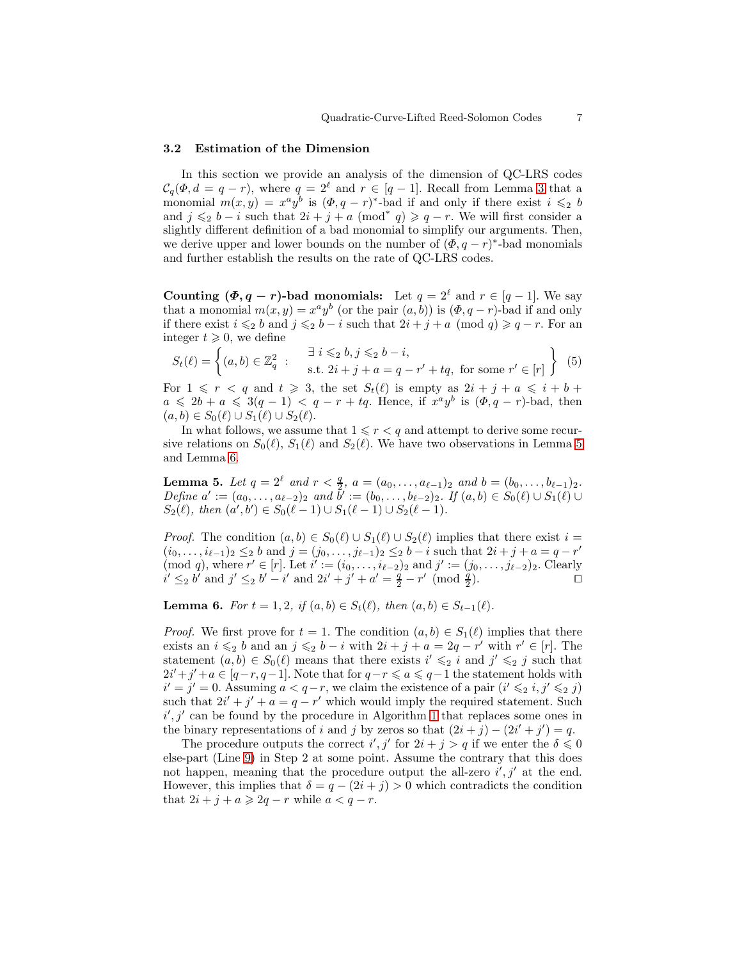#### 3.2 Estimation of the Dimension

In this section we provide an analysis of the dimension of QC-LRS codes  $\mathcal{C}_q(\Phi, d = q - r)$ , where  $q = 2^{\ell}$  and  $r \in [q - 1]$ . Recall from Lemma [3](#page-3-2) that a monomial  $m(x, y) = x^a y^b$  is  $(\Phi, q - r)^*$ -bad if and only if there exist  $i \leq 2$  b and  $j \leq 2b - i$  such that  $2i + j + a \pmod{q} \geq q - r$ . We will first consider a slightly different definition of a bad monomial to simplify our arguments. Then, we derive upper and lower bounds on the number of  $(\Phi, q - r)^*$ -bad monomials and further establish the results on the rate of QC-LRS codes.

Counting  $(\Phi, q - r)$ -bad monomials: Let  $q = 2^{\ell}$  and  $r \in [q - 1]$ . We say that a monomial  $m(x, y) = x^a y^b$  (or the pair  $(a, b)$ ) is  $(\Phi, q - r)$ -bad if and only if there exist  $i \leq 2$  b and  $j \leq 2$  b − i such that  $2i + j + a \pmod{q} \geq q - r$ . For an integer  $t \geqslant 0$ , we define

<span id="page-6-2"></span>
$$
S_t(\ell) = \left\{ (a, b) \in \mathbb{Z}_q^2 : \begin{array}{c} \exists \ i \leqslant_2 b, j \leqslant_2 b - i, \\ \text{s.t. } 2i + j + a = q - r' + tq, \text{ for some } r' \in [r] \end{array} \right\}
$$
(5)

For  $1 \leq r \leq q$  and  $t \geq 3$ , the set  $S_t(\ell)$  is empty as  $2i + j + a \leq i + b + j$  $a \leq 2b + a \leq 3(q-1) < q - r + tq$ . Hence, if  $x^a y^b$  is  $(\Phi, q - r)$ -bad, then  $(a, b) \in S_0(\ell) \cup S_1(\ell) \cup S_2(\ell).$ 

In what follows, we assume that  $1 \leq r < q$  and attempt to derive some recursive relations on  $S_0(\ell)$ ,  $S_1(\ell)$  and  $S_2(\ell)$ . We have two observations in Lemma [5](#page-6-0) and Lemma [6.](#page-6-1)

<span id="page-6-0"></span>**Lemma 5.** Let  $q = 2^{\ell}$  and  $r < \frac{q}{2}$ ,  $a = (a_0, \ldots, a_{\ell-1})_2$  and  $b = (b_0, \ldots, b_{\ell-1})_2$ . Define  $a' := (a_0, \ldots, a_{\ell-2})_2$  and  $\bar{b}' := (b_0, \ldots, b_{\ell-2})_2$ . If  $(a, b) \in S_0(\ell) \cup S_1(\ell) \cup$  $S_2(\ell)$ , then  $(a', b') \in S_0(\ell - 1) \cup S_1(\ell - 1) \cup S_2(\ell - 1)$ .

*Proof.* The condition  $(a, b) \in S_0(\ell) \cup S_1(\ell) \cup S_2(\ell)$  implies that there exist  $i =$  $(i_0, \ldots, i_{\ell-1})_2 \leq_2 b$  and  $j = (j_0, \ldots, j_{\ell-1})_2 \leq_2 b - i$  such that  $2i + j + a = q - r'$ (mod q), where  $r' \in [r]$ . Let  $i' := (i_0, \ldots, i_{\ell-2})_2$  and  $j' := (j_0, \ldots, j_{\ell-2})_2$ . Clearly  $i' \leq_2 b'$  and  $j' \leq_2 b' - i'$  and  $2i' + j' + a' = \frac{q}{2} - r'$  (mod  $\frac{q}{2}$ ).

<span id="page-6-1"></span>**Lemma 6.** For  $t = 1, 2$ , if  $(a, b) \in S_t(\ell)$ , then  $(a, b) \in S_{t-1}(\ell)$ .

*Proof.* We first prove for  $t = 1$ . The condition  $(a, b) \in S_1(\ell)$  implies that there exists an  $i \leq 2$  b and an  $j \leq 2$  b − i with  $2i + j + a = 2q - r'$  with  $r' \in [r]$ . The statement  $(a, b) \in S_0(\ell)$  means that there exists  $i' \leq 2 i$  and  $j' \leq 2 j$  such that  $2i' + j' + a \in [q-r, q-1]$ . Note that for  $q-r \leq a \leq q-1$  the statement holds with  $i' = j' = 0$ . Assuming  $a < q-r$ , we claim the existence of a pair  $(i' ≤ 2 i, j' ≤ 2 j)$ such that  $2i' + j' + a = q - r'$  which would imply the required statement. Such  $i', j'$  can be found by the procedure in Algorithm [1](#page-7-0) that replaces some ones in the binary representations of i and j by zeros so that  $(2i + j) - (2i' + j') = q$ .

The procedure outputs the correct  $i', j'$  for  $2i + j > q$  if we enter the  $\delta \leq 0$ else-part (Line [9\)](#page-7-1) in Step 2 at some point. Assume the contrary that this does not happen, meaning that the procedure output the all-zero  $i', j'$  at the end. However, this implies that  $\delta = q - (2i + j) > 0$  which contradicts the condition that  $2i + j + a \geqslant 2q - r$  while  $a < q - r$ .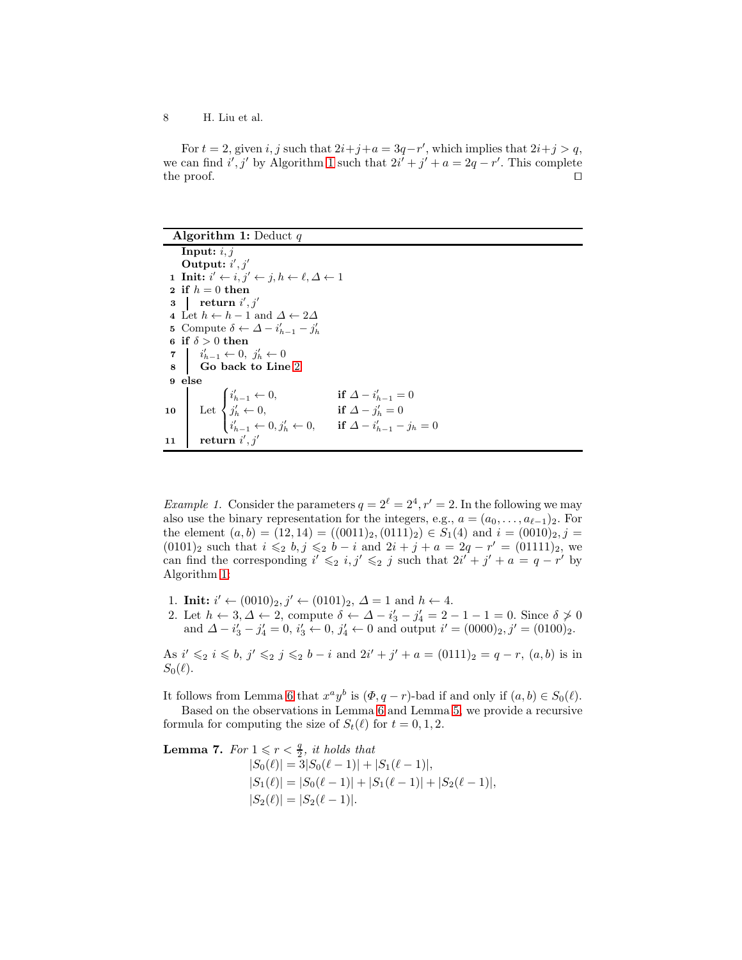For  $t = 2$ , given i, j such that  $2i+j+a = 3q-r'$ , which implies that  $2i+j > q$ , we can find  $i', j'$  by Algorithm [1](#page-7-0) such that  $2i' + j' + a = 2q - r'$ . This complete the proof. □

<span id="page-7-2"></span><span id="page-7-0"></span>

| <b>Algorithm 1:</b> Deduct q                                                                                                                                                                                                                                                                                                                                                |
|-----------------------------------------------------------------------------------------------------------------------------------------------------------------------------------------------------------------------------------------------------------------------------------------------------------------------------------------------------------------------------|
| Input: $i, j$                                                                                                                                                                                                                                                                                                                                                               |
| Output: $i', j'$                                                                                                                                                                                                                                                                                                                                                            |
| 1 Init: $i' \leftarrow i, j' \leftarrow j, h \leftarrow \ell, \Delta \leftarrow 1$                                                                                                                                                                                                                                                                                          |
| 2 if $h = 0$ then                                                                                                                                                                                                                                                                                                                                                           |
| 3 return $i', j'$                                                                                                                                                                                                                                                                                                                                                           |
| 4 Let $h \leftarrow h - 1$ and $\Delta \leftarrow 2\Delta$                                                                                                                                                                                                                                                                                                                  |
| 5 Compute $\delta \leftarrow \Delta - i'_{h-1} - j'_{h}$                                                                                                                                                                                                                                                                                                                    |
| 6 if $\delta > 0$ then                                                                                                                                                                                                                                                                                                                                                      |
| $\begin{array}{c}\n\mathbf{7} \\ \mathbf{8}\n\end{array}\n\left  \begin{array}{c}\n i'_{h-1} \leftarrow 0, \ j'_h \leftarrow 0 \\ \textbf{Go back to Line 2}\n\end{array}\right. \right.$                                                                                                                                                                                   |
|                                                                                                                                                                                                                                                                                                                                                                             |
| 9 else                                                                                                                                                                                                                                                                                                                                                                      |
|                                                                                                                                                                                                                                                                                                                                                                             |
|                                                                                                                                                                                                                                                                                                                                                                             |
| $\begin{array}{c c} \textbf{10} & \begin{array}{ c} \hline \textbf{1}_{h-1} \leftarrow 0, & \textbf{if } \Delta - i_{h-1}' = 0 \\ j_{h}' \leftarrow 0, & \textbf{if } \Delta - j_{h}' = 0 \\ i_{h-1}' \leftarrow 0, j_{h}' \leftarrow 0, & \textbf{if } \Delta - i_{h-1}' - j_{h} = 0 \end{array} \right. \\ \textbf{11} & \textbf{return } i', j' \end{array} \end{array}$ |
|                                                                                                                                                                                                                                                                                                                                                                             |

<span id="page-7-1"></span>*Example 1.* Consider the parameters  $q = 2^{\ell} = 2^4, r' = 2$ . In the following we may also use the binary representation for the integers, e.g.,  $a = (a_0, \ldots, a_{\ell-1})_2$ . For the element  $(a, b) = (12, 14) = ((0011)_2, (0111)_2) \in S_1(4)$  and  $i = (0010)_2, j = (0010)_2$  $(0101)_2$  such that  $i \leq 0, j \leq 0 - i$  and  $2i + j + a = 2q - r' = (01111)_2$ , we can find the corresponding  $i' \leq 2 i, j' \leq 2 j$  such that  $2i' + j' + a = q - r'$  by Algorithm [1:](#page-7-0)

- 1. **Init:**  $i' \leftarrow (0010)_2, j' \leftarrow (0101)_2, \Delta = 1$  and  $h \leftarrow 4$ .
- 2. Let  $h \leftarrow 3, \Delta \leftarrow 2$ , compute  $\delta \leftarrow \Delta i'_3 j'_4 = 2 1 1 = 0$ . Since  $\delta \not\geq 0$ and  $\Delta - i'_3 - j'_4 = 0$ ,  $i'_3 \leftarrow 0$ ,  $j'_4 \leftarrow 0$  and output  $i' = (0000)_2, j' = (0100)_2$ .

As  $i' \leq 2 i \leq b$ ,  $j' \leq 2 j \leq 2 b - i$  and  $2i' + j' + a = (0111)2 = q - r$ ,  $(a, b)$  is in  $S_0(\ell)$ .

It follows from Lemma [6](#page-6-1) that  $x^a y^b$  is  $(\Phi, q-r)$ -bad if and only if  $(a, b) \in S_0(\ell)$ .

Based on the observations in Lemma [6](#page-6-1) and Lemma [5,](#page-6-0) we provide a recursive formula for computing the size of  $S_t(\ell)$  for  $t = 0, 1, 2$ .

<span id="page-7-3"></span>**Lemma 7.** For  $1 \leqslant r < \frac{q}{2}$ , it holds that  $|S_0(\ell)| = 3|S_0(\ell-1)| + |S_1(\ell-1)|,$  $|S_1(\ell)| = |S_0(\ell-1)| + |S_1(\ell-1)| + |S_2(\ell-1)|,$  $|S_2(\ell)| = |S_2(\ell-1)|.$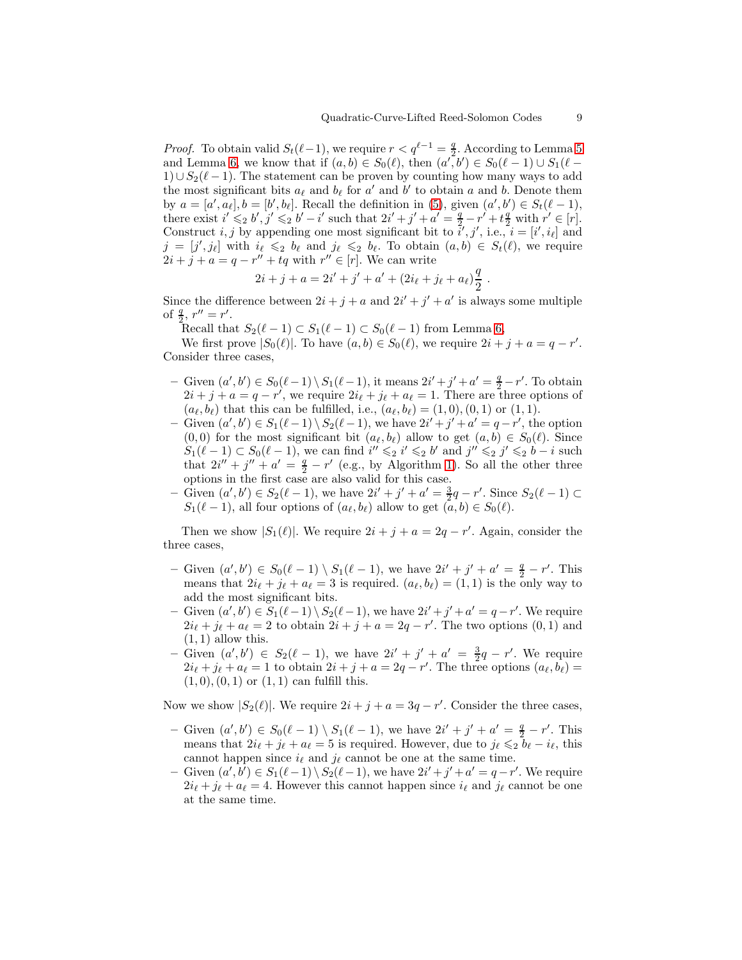*Proof.* To obtain valid  $S_t(\ell-1)$ , we require  $r < q^{\ell-1} = \frac{q}{2}$  $\frac{q}{2}$ . According to Lemma [5](#page-6-0) and Lemma [6,](#page-6-1) we know that if  $(a, b) \in S_0(\ell)$ , then  $(a', b') \in S_0(\ell - 1) \cup S_1(\ell -$ 1)∪ $S_2(\ell-1)$ . The statement can be proven by counting how many ways to add the most significant bits  $a_{\ell}$  and  $b_{\ell}$  for  $a'$  and  $b'$  to obtain a and b. Denote them by  $a = [a', a_\ell], b = [b', b_\ell]$ . Recall the definition in [\(5\)](#page-6-2), given  $(a', b') \in S_t(\ell - 1)$ , there exist  $i' \leq 2 b', j' \leq 2 b' - i'$  such that  $2i' + j' + a' = \frac{q}{2} - r' + t\frac{q}{2}$  with  $r' \in [r]$ . Construct  $i, j$  by appending one most significant bit to  $\tilde{i}', j', \text{ i.e., } i = [i', i_\ell]$  and  $j = [j', j_\ell]$  with  $i_\ell \leqslant_2 b_\ell$  and  $j_\ell \leqslant_2 b_\ell$ . To obtain  $(a, b) \in S_t(\ell)$ , we require  $2i + j + a = q - r'' + tq$  with  $r'' \in [r]$ . We can write

$$
2i + j + a = 2i' + j' + a' + (2i_{\ell} + j_{\ell} + a_{\ell})\frac{q}{2}.
$$

Since the difference between  $2i + j + a$  and  $2i' + j' + a'$  is always some multiple of  $\frac{q}{2}$ ,  $r'' = r'$ .

Recall that  $S_2(\ell-1) \subset S_1(\ell-1) \subset S_0(\ell-1)$  from Lemma [6,](#page-6-1)

We first prove  $|S_0(\ell)|$ . To have  $(a, b) \in S_0(\ell)$ , we require  $2i + j + a = q - r'$ . Consider three cases,

- Given  $(a', b') \in S_0(\ell-1) \setminus S_1(\ell-1)$ , it means  $2i' + j' + a' = \frac{q}{2} r'$ . To obtain  $2i + j + a = q - r'$ , we require  $2i_{\ell} + j_{\ell} + a_{\ell} = 1$ . There are three options of  $(a_{\ell}, b_{\ell})$  that this can be fulfilled, i.e.,  $(a_{\ell}, b_{\ell}) = (1, 0), (0, 1)$  or  $(1, 1)$ .
- Given  $(a', b') \in S_1(\ell-1) \setminus S_2(\ell-1)$ , we have  $2i' + j' + a' = q r'$ , the option  $(0, 0)$  for the most significant bit  $(a_{\ell}, b_{\ell})$  allow to get  $(a, b) \in S_0(\ell)$ . Since  $S_1(\ell-1) \subset S_0(\ell-1)$ , we can find  $i'' \leq 2 i' \leq 2 b'$  and  $j'' \leq 2 j' \leq 2 b - i$  such that  $2i'' + j'' + a' = \frac{q}{2} - r'$  (e.g., by Algorithm [1\)](#page-7-0). So all the other three options in the first case are also valid for this case.
- Given  $(a', b') \in S_2(\ell 1)$ , we have  $2i' + j' + a' = \frac{3}{2}q r'$ . Since  $S_2(\ell 1)$  ⊂  $S_1(\ell-1)$ , all four options of  $(a_{\ell}, b_{\ell})$  allow to get  $(a, b) \in S_0(\ell)$ .

Then we show  $|S_1(\ell)|$ . We require  $2i + j + a = 2q - r'$ . Again, consider the three cases,

- Given  $(a', b') \in S_0(\ell-1) \setminus S_1(\ell-1)$ , we have  $2i' + j' + a' = \frac{q}{2} r'$ . This means that  $2i_{\ell} + j_{\ell} + a_{\ell} = 3$  is required.  $(a_{\ell}, b_{\ell}) = (1, 1)$  is the only way to add the most significant bits.
- Given  $(a', b') \in S_1(\ell-1) \setminus S_2(\ell-1)$ , we have  $2i' + j' + a' = q r'$ . We require  $2i_{\ell} + j_{\ell} + a_{\ell} = 2$  to obtain  $2i + j + a = 2q - r'$ . The two options  $(0, 1)$  and  $(1, 1)$  allow this.
- Given  $(a', b') \in S_2(\ell 1)$ , we have  $2i' + j' + a' = \frac{3}{2}q r'$ . We require  $2i_{\ell} + j_{\ell} + a_{\ell} = 1$  to obtain  $2i + j + a = 2q - r'$ . The three options  $(a_{\ell}, b_{\ell}) =$  $(1, 0), (0, 1)$  or  $(1, 1)$  can fulfill this.

Now we show  $|S_2(\ell)|$ . We require  $2i + j + a = 3q - r'$ . Consider the three cases,

- Given  $(a', b') \in S_0(\ell-1) \setminus S_1(\ell-1)$ , we have  $2i' + j' + a' = \frac{q}{2} r'$ . This means that  $2i_{\ell} + j_{\ell} + a_{\ell} = 5$  is required. However, due to  $j_{\ell} \leq 2 \bar{b}_{\ell} - i_{\ell}$ , this cannot happen since  $i_{\ell}$  and  $j_{\ell}$  cannot be one at the same time.
- Given  $(a', b') \in S_1(\ell-1) \setminus S_2(\ell-1)$ , we have  $2i' + j' + a' = q r'$ . We require  $2i_{\ell} + j_{\ell} + a_{\ell} = 4$ . However this cannot happen since  $i_{\ell}$  and  $j_{\ell}$  cannot be one at the same time.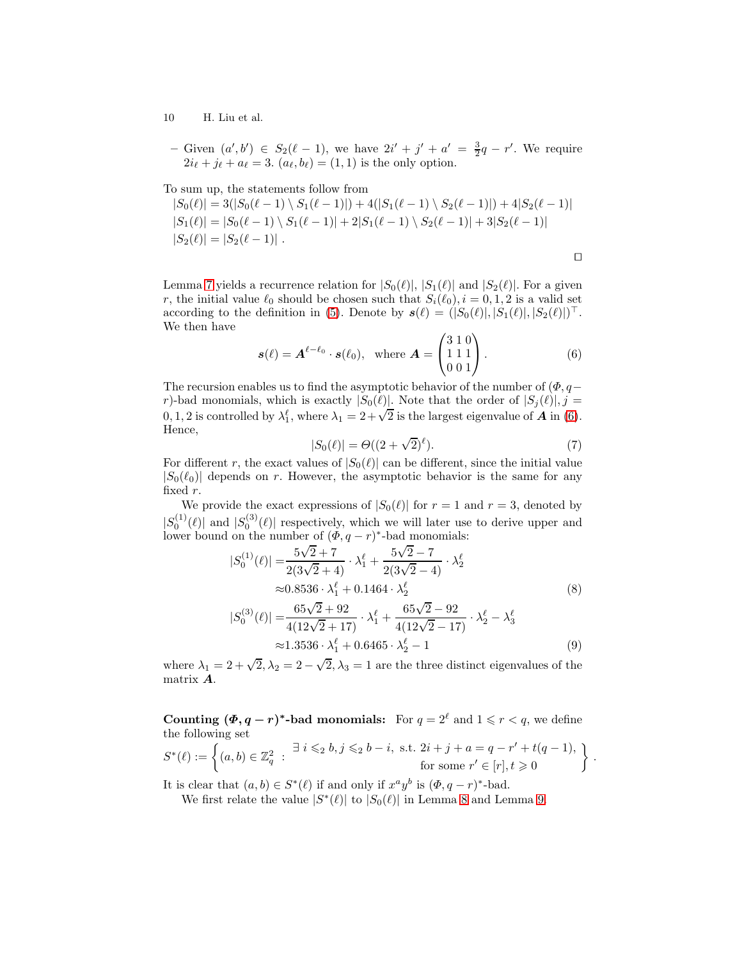– Given  $(a', b') \in S_2(\ell - 1)$ , we have  $2i' + j' + a' = \frac{3}{2}q - r'$ . We require  $2i_{\ell} + j_{\ell} + a_{\ell} = 3$ .  $(a_{\ell}, b_{\ell}) = (1, 1)$  is the only option.

To sum up, the statements follow from

$$
|S_0(\ell)| = 3(|S_0(\ell - 1) \setminus S_1(\ell - 1)|) + 4(|S_1(\ell - 1) \setminus S_2(\ell - 1)|) + 4|S_2(\ell - 1)|
$$
  
\n
$$
|S_1(\ell)| = |S_0(\ell - 1) \setminus S_1(\ell - 1)| + 2|S_1(\ell - 1) \setminus S_2(\ell - 1)| + 3|S_2(\ell - 1)|
$$
  
\n
$$
|S_2(\ell)| = |S_2(\ell - 1)|.
$$

Lemma [7](#page-7-3) yields a recurrence relation for  $|S_0(\ell)|, |S_1(\ell)|$  and  $|S_2(\ell)|$ . For a given r, the initial value  $\ell_0$  should be chosen such that  $S_i(\ell_0), i = 0, 1, 2$  is a valid set according to the definition in [\(5\)](#page-6-2). Denote by  $s(\ell) = (|S_0(\ell)|, |S_1(\ell)|, |S_2(\ell)|)^\top$ . We then have

$$
\mathbf{s}(\ell) = \mathbf{A}^{\ell-\ell_0} \cdot \mathbf{s}(\ell_0), \quad \text{where } \mathbf{A} = \begin{pmatrix} 3 & 1 & 0 \\ 1 & 1 & 1 \\ 0 & 0 & 1 \end{pmatrix}. \tag{6}
$$

The recursion enables us to find the asymptotic behavior of the number of  $(\Phi, q-\Phi)$ r)-bad monomials, which is exactly  $|S_0(\ell)|$ . Note that the order of  $|S_j(\ell)|$ , j = 0, 1, 2 is controlled by  $\lambda_1^{\ell}$ , where  $\lambda_1 = 2 + \sqrt{2}$  is the largest eigenvalue of **A** in [\(6\)](#page-9-0). Hence,

<span id="page-9-0"></span>
$$
|S_0(\ell)| = \Theta((2+\sqrt{2})^{\ell}).\tag{7}
$$

<span id="page-9-3"></span><span id="page-9-2"></span><span id="page-9-1"></span>.

For different r, the exact values of  $|S_0(\ell)|$  can be different, since the initial value  $|S_0(\ell_0)|$  depends on r. However, the asymptotic behavior is the same for any fixed r.

We provide the exact expressions of  $|S_0(\ell)|$  for  $r = 1$  and  $r = 3$ , denoted by  $|S_0^{(1)}(\ell)|$  and  $|S_0^{(3)}(\ell)|$  respectively, which we will later use to derive upper and lower bound on the number of  $(\Phi, q-r)^*$ -bad monomials:

$$
|S_0^{(1)}(\ell)| = \frac{5\sqrt{2} + 7}{2(3\sqrt{2} + 4)} \cdot \lambda_1^{\ell} + \frac{5\sqrt{2} - 7}{2(3\sqrt{2} - 4)} \cdot \lambda_2^{\ell}
$$
  
\n
$$
\approx 0.8536 \cdot \lambda_1^{\ell} + 0.1464 \cdot \lambda_2^{\ell}
$$
  
\n
$$
|S_0^{(3)}(\ell)| = \frac{65\sqrt{2} + 92}{4(12\sqrt{2} + 17)} \cdot \lambda_1^{\ell} + \frac{65\sqrt{2} - 92}{4(12\sqrt{2} - 17)} \cdot \lambda_2^{\ell} - \lambda_3^{\ell}
$$
  
\n
$$
\approx 1.3536 \cdot \lambda_1^{\ell} + 0.6465 \cdot \lambda_2^{\ell} - 1
$$
 (9)

where  $\lambda_1 = 2 + \sqrt{2}, \lambda_2 = 2 - \sqrt{2}, \lambda_3 = 1$  are the three distinct eigenvalues of the matrix A.

Counting  $(\Phi, q-r)^*$ -bad monomials: For  $q = 2^{\ell}$  and  $1 \leq r < q$ , we define the following set

$$
S^*(\ell) := \left\{ (a, b) \in \mathbb{Z}_q^2 \ : \ \frac{\exists \ i \leqslant_2 b, j \leqslant_2 b - i, \ \text{s.t.} \ 2i + j + a = q - r' + t(q - 1), \ \text{for some} \ r' \in [r], t \geqslant 0 \right\}
$$

It is clear that  $(a, b) \in S^*(\ell)$  if and only if  $x^a y^b$  is  $(\Phi, q - r)^*$ -bad.

We first relate the value  $|S^*(\ell)|$  to  $|S_0(\ell)|$  in Lemma [8](#page-9-1) and Lemma [9.](#page-10-0)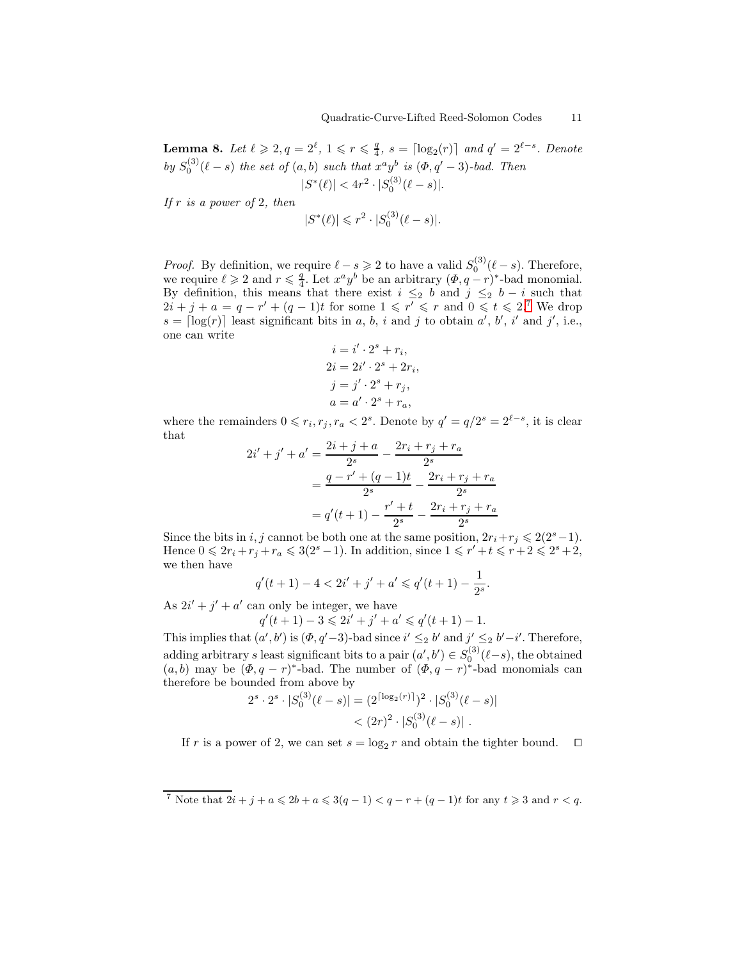Lemma 8. Let  $\ell \geqslant 2, q = 2^{\ell}, 1 \leqslant r \leqslant \frac{q}{4}$  $\frac{q}{4}$ ,  $s = \lceil \log_2(r) \rceil$  and  $q' = 2^{\ell-s}$ . Denote by  $S_0^{(3)}(\ell-s)$  the set of  $(a,b)$  such that  $x^a y^b$  is  $(\Phi, q' - 3)$ -bad. Then  $|S^*(\ell)| < 4r^2 \cdot |S_0^{(3)}(\ell - s)|.$ 

If  $r$  is a power of 2, then

$$
|S^*(\ell)| \leq r^2 \cdot |S_0^{(3)}(\ell - s)|.
$$

*Proof.* By definition, we require  $\ell - s \geqslant 2$  to have a valid  $S_0^{(3)}(\ell - s)$ . Therefore, we require  $\ell \geqslant 2$  and  $r \leqslant \frac{q}{4}$  $\frac{q}{4}$ . Let  $x^a y^b$  be an arbitrary  $(\Phi, q-r)^*$ -bad monomial. By definition, this means that there exist  $i \leq 2$  b and  $j \leq 2$  b  $-i$  such that  $2i + j + a = q - r' + (q - 1)t$  for some  $1 \leq r' \leq r$  and  $0 \leq t \leq 2$ .<sup>[7](#page-10-1)</sup> We drop  $s = \lceil \log(r) \rceil$  least significant bits in a, b, i and j to obtain a', b', i' and j', i.e., one can write

$$
i = i' \cdot 2^{s} + r_{i},
$$
  
\n
$$
2i = 2i' \cdot 2^{s} + 2r_{i},
$$
  
\n
$$
j = j' \cdot 2^{s} + r_{j},
$$
  
\n
$$
a = a' \cdot 2^{s} + r_{a},
$$

where the remainders  $0 \leq r_i, r_j, r_a < 2^s$ . Denote by  $q' = q/2^s = 2^{\ell-s}$ , it is clear that

$$
2i' + j' + a' = \frac{2i + j + a}{2^s} - \frac{2r_i + r_j + r_a}{2^s}
$$
  
= 
$$
\frac{q - r' + (q - 1)t}{2^s} - \frac{2r_i + r_j + r_a}{2^s}
$$
  
= 
$$
q'(t + 1) - \frac{r' + t}{2^s} - \frac{2r_i + r_j + r_a}{2^s}
$$

Since the bits in i, j cannot be both one at the same position,  $2r_i+r_j \leq 2(2^s-1)$ . Hence  $0 \leqslant 2r_i + r_j + r_a \leqslant 3(2^s - 1)$ . In addition, since  $1 \leqslant r' + t \leqslant r + 2 \leqslant 2^s + 2$ , we then have

$$
q'(t+1) - 4 < 2i' + j' + a' \leqslant q'(t+1) - \frac{1}{2^s}.
$$

As  $2i' + j' + a'$  can only be integer, we have

$$
q'(t+1) - 3 \leq 2i' + j' + a' \leq q'(t+1) - 1.
$$

This implies that  $(a', b')$  is  $(\Phi, q' - 3)$ -bad since  $i' \leq_2 b'$  and  $j' \leq_2 b' - i'$ . Therefore, adding arbitrary s least significant bits to a pair  $(a', b') \in S_0^{(3)}(\ell-s)$ , the obtained  $(a, b)$  may be  $(\Phi, q - r)^*$ -bad. The number of  $(\Phi, q - r)^*$ -bad monomials can therefore be bounded from above by

$$
2s \cdot 2s \cdot |S_0^{(3)}(\ell - s)| = (2^{\lceil \log_2(r) \rceil})^2 \cdot |S_0^{(3)}(\ell - s)|
$$
  
< 
$$
< (2r)^2 \cdot |S_0^{(3)}(\ell - s)|.
$$

<span id="page-10-0"></span>If r is a power of 2, we can set  $s = \log_2 r$  and obtain the tighter bound.  $\Box$ 

<span id="page-10-1"></span><sup>&</sup>lt;sup>7</sup> Note that  $2i + j + a \leq 2b + a \leq 3(q - 1) < q - r + (q - 1)t$  for any  $t \geq 3$  and  $r < q$ .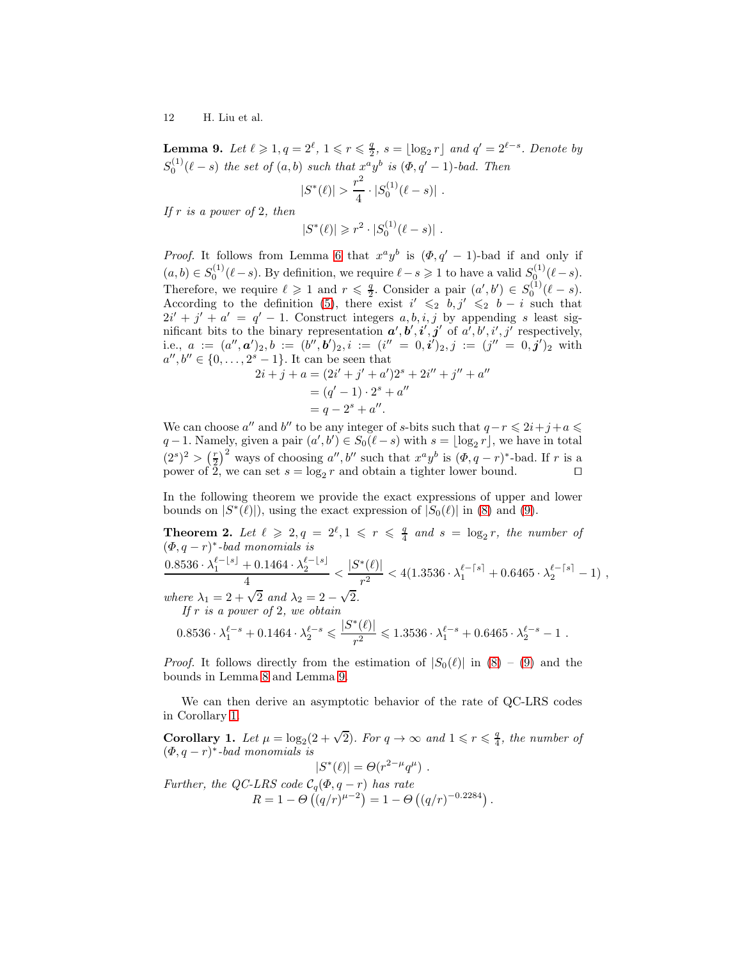Lemma 9. Let  $\ell \geqslant 1, q = 2^{\ell}, 1 \leqslant r \leqslant \frac{q}{2}$  $\frac{q}{2}$ ,  $s = \lfloor \log_2 r \rfloor$  and  $q' = 2^{\ell-s}$ . Denote by  $S_0^{(1)}(\ell-s)$  the set of  $(a,b)$  such that  $x^a y^b$  is  $(\Phi, q' - 1)$ -bad. Then

$$
|S^*(\ell)| > \frac{r^2}{4} \cdot |S_0^{(1)}(\ell - s)|.
$$

If  $r$  is a power of 2, then

$$
|S^*(\ell)| \geq r^2 \cdot |S_0^{(1)}(\ell - s)|.
$$

*Proof.* It follows from Lemma [6](#page-6-1) that  $x^a y^b$  is  $(\Phi, q' - 1)$ -bad if and only if  $(a, b) \in S_0^{(1)}(\ell - s)$ . By definition, we require  $\ell - s \geq 1$  to have a valid  $S_0^{(1)}(\ell - s)$ . Therefore, we require  $\ell \geqslant 1$  and  $r \leqslant \frac{q}{2}$ . Consider a pair  $(a', b') \in S_0^{(1)}(\ell - s)$ . According to the definition [\(5\)](#page-6-2), there exist  $i' \leq 1$  b,  $j' \leq 1$  b  $-i$  such that  $2i' + j' + a' = q' - 1$ . Construct integers a, b, i, j by appending s least significant bits to the binary representation  $a', b', i', j'$  of  $a', b', i', j'$  respectively,  $\mathrm{i.e.,}\,\, a\ :=\ (a'',\bm{a}')_2, b\ :=\ (b'',\bm{b}')_2, i\ :=\ (i''\ =\ 0, \bm{i}')_2, j\ :=\ (j''\ =\ 0, \bm{j}')_2\, \,\mathrm{with}\,\,$  $a'', b'' \in \{0, \ldots, 2^s - 1\}$ . It can be seen that

<span id="page-11-1"></span>
$$
2i + j + a = (2i' + j' + a')2s + 2i'' + j'' + a''
$$
  
=  $(q' - 1) \cdot 2s + a''$   
=  $q - 2s + a''$ .

We can choose a'' and b'' to be any integer of s-bits such that  $q-r \leq 2i+j+a \leq$  $q-1$ . Namely, given a pair  $(a',b') \in S_0(\ell-s)$  with  $s = \lfloor \log_2 r \rfloor$ , we have in total  $(2<sup>s</sup>)<sup>2</sup> > (\frac{r}{2})<sup>2</sup>$  ways of choosing a'', b'' such that  $x<sup>a</sup>y<sup>b</sup>$  is  $(\Phi, q-r)<sup>*</sup>$ -bad. If r is a power of 2, we can set  $s = \log_2 r$  and obtain a tighter lower bound. □

In the following theorem we provide the exact expressions of upper and lower bounds on  $|S^*(\ell)|$ , using the exact expression of  $|S_0(\ell)|$  in [\(8\)](#page-9-2) and [\(9\)](#page-9-3).

Theorem 2. Let  $\ell \geqslant 2, q = 2^{\ell}, 1 \leqslant r \leqslant \frac{q}{4}$  $\frac{q}{4}$  and  $s = \log_2 r$ , the number of  $(\Phi, q-r)^*$ -bad monomials is  $0.8536 \cdot \lambda_1^{\ell - \lfloor s \rfloor} + 0.1464 \cdot \lambda_2^{\ell - \lfloor s \rfloor}$  $\frac{+ \, 0.1464 \cdot \lambda_2^{\ell - \lfloor s \rfloor}}{4} < \frac{|S^*(\ell)|}{r^2}$  $\frac{|\ell|}{r^2} < 4(1.3536 \cdot \lambda_1^{\ell-\lceil s \rceil} + 0.6465 \cdot \lambda_2^{\ell-\lceil s \rceil} - 1)$ , where  $\lambda_1 = 2 + \sqrt{2}$  and  $\lambda_2 = 2 - \sqrt{2}$ . If r is a power of 2, we obtain  $S^*$ 

$$
0.8536 \cdot \lambda_1^{\ell-s} + 0.1464 \cdot \lambda_2^{\ell-s} \leq \frac{|S^*(\ell)|}{r^2} \leq 1.3536 \cdot \lambda_1^{\ell-s} + 0.6465 \cdot \lambda_2^{\ell-s} - 1.
$$

*Proof.* It follows directly from the estimation of  $|S_0(\ell)|$  in  $(8) - (9)$  $(8) - (9)$  and the bounds in Lemma [8](#page-9-1) and Lemma [9.](#page-10-0)

We can then derive an asymptotic behavior of the rate of QC-LRS codes in Corollary [1.](#page-11-0)

<span id="page-11-0"></span>Corollary 1. Let  $\mu = \log_2(2 + \sqrt{2})$ . For  $q \to \infty$  and  $1 \leq r \leq \frac{q}{4}$  $\frac{q}{4}$ , the number of  $(\Phi, q-r)^*$ -bad monomials is

$$
|S^*(\ell)| = \Theta(r^{2-\mu}q^{\mu}).
$$

Further, the QC-LRS code  $\mathcal{C}_q(\Phi, q-r)$  has rate  $R = 1 - \Theta\left((q/r)^{\mu-2}\right) = 1 - \Theta\left((q/r)^{-0.2284}\right).$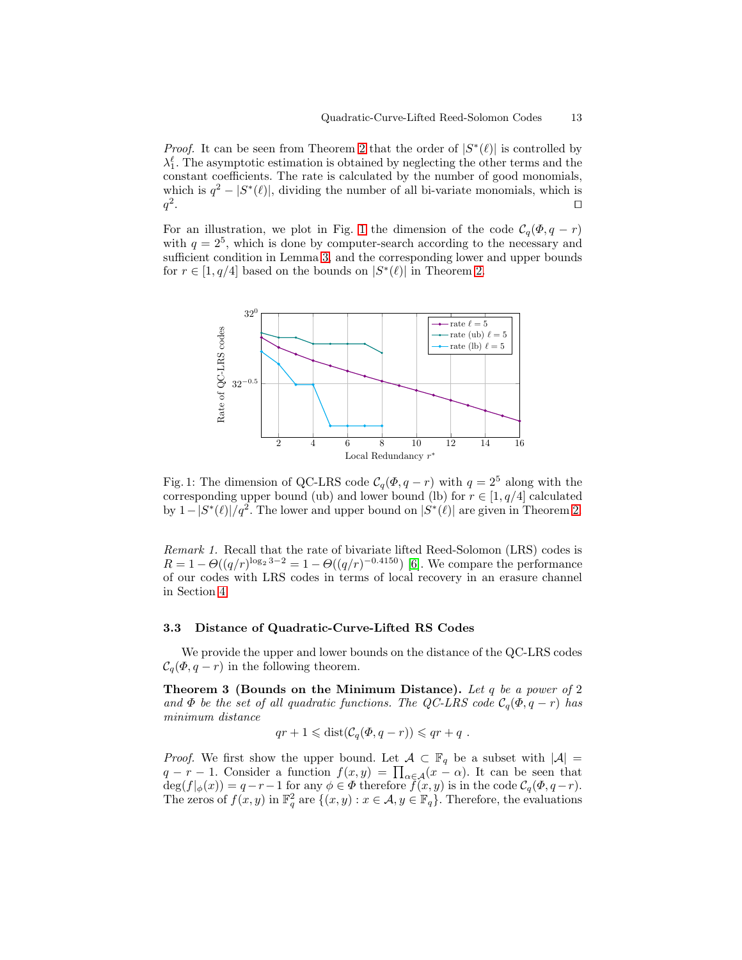*Proof.* It can be seen from Theorem [2](#page-11-1) that the order of  $|S^*(\ell)|$  is controlled by  $\lambda_1^{\ell}$ . The asymptotic estimation is obtained by neglecting the other terms and the constant coefficients. The rate is calculated by the number of good monomials, which is  $q^2 - |S^*(\ell)|$ , dividing the number of all bi-variate monomials, which is  $q^2$ . ⊓⊔

For an illustration, we plot in Fig. [1](#page-12-0) the dimension of the code  $\mathcal{C}_q(\Phi, q-r)$ with  $q = 2<sup>5</sup>$ , which is done by computer-search according to the necessary and sufficient condition in Lemma [3,](#page-3-2) and the corresponding lower and upper bounds for  $r \in [1, q/4]$  based on the bounds on  $|S^*(\ell)|$  in Theorem [2.](#page-11-1)

<span id="page-12-0"></span>

Fig. 1: The dimension of QC-LRS code  $C_q(\Phi, q - r)$  with  $q = 2^5$  along with the corresponding upper bound (ub) and lower bound (lb) for  $r \in [1, q/4]$  calculated by  $1-|S^*(\ell)|/q^2$ . The lower and upper bound on  $|S^*(\ell)|$  are given in Theorem [2.](#page-11-1)

Remark 1. Recall that the rate of bivariate lifted Reed-Solomon (LRS) codes is  $R = 1 - \Theta((q/r)^{\log_2 3 - 2} = 1 - \Theta((q/r)^{-0.4150})$  [\[6\]](#page-14-1). We compare the performance of our codes with LRS codes in terms of local recovery in an erasure channel in Section [4.](#page-13-1)

#### 3.3 Distance of Quadratic-Curve-Lifted RS Codes

We provide the upper and lower bounds on the distance of the QC-LRS codes  $C_q(\Phi, q-r)$  in the following theorem.

**Theorem 3 (Bounds on the Minimum Distance).** Let q be a power of 2 and  $\Phi$  be the set of all quadratic functions. The QC-LRS code  $\mathcal{C}_q(\Phi, q-r)$  has minimum distance

$$
qr + 1 \le \text{dist}(\mathcal{C}_q(\Phi, q - r)) \le qr + q.
$$

*Proof.* We first show the upper bound. Let  $\mathcal{A} \subset \mathbb{F}_q$  be a subset with  $|\mathcal{A}| =$  $q - r - 1$ . Consider a function  $f(x, y) = \prod_{\alpha \in \mathcal{A}} (x - \alpha)$ . It can be seen that  $deg(f|_{\phi}(x)) = q - r - 1$  for any  $\phi \in \Phi$  therefore  $f(x, y)$  is in the code  $C_q(\Phi, q-r)$ . The zeros of  $f(x, y)$  in  $\mathbb{F}_q^2$  are  $\{(x, y) : x \in \mathcal{A}, y \in \mathbb{F}_q\}$ . Therefore, the evaluations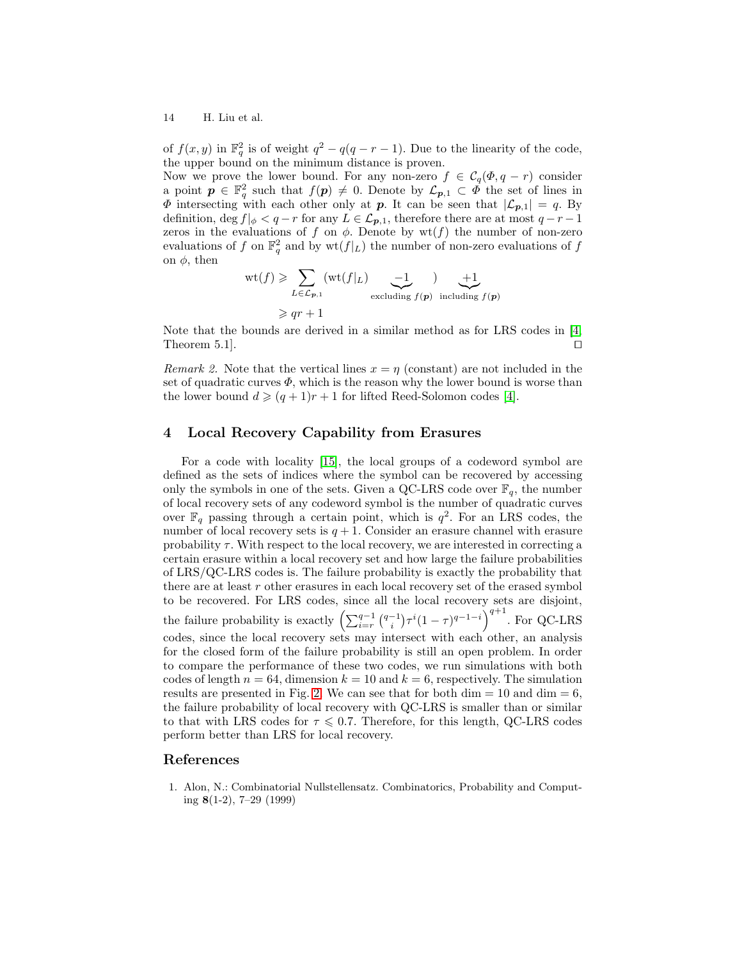of  $f(x, y)$  in  $\mathbb{F}_q^2$  is of weight  $q^2 - q(q - r - 1)$ . Due to the linearity of the code, the upper bound on the minimum distance is proven.

Now we prove the lower bound. For any non-zero  $f \in \mathcal{C}_q(\Phi, q - r)$  consider a point  $p \in \mathbb{F}_q^2$  such that  $f(p) \neq 0$ . Denote by  $\mathcal{L}_{p,1} \subset \Phi$  the set of lines in  $\Phi$  intersecting with each other only at p. It can be seen that  $|\mathcal{L}_{p,1}| = q$ . By definition, deg  $f|_{\phi} < q - r$  for any  $L \in \mathcal{L}_{p,1}$ , therefore there are at most  $q - r - 1$ zeros in the evaluations of f on  $\phi$ . Denote by wt(f) the number of non-zero evaluations of f on  $\mathbb{F}_q^2$  and by  $\text{wt}(f|_L)$  the number of non-zero evaluations of f on  $\phi$ , then

$$
\operatorname{wt}(f) \geqslant \sum_{L \in \mathcal{L}_{\mathbf{p},1}} (\operatorname{wt}(f|_L) \underbrace{-1}_{\text{excluding } f(\mathbf{p})}) \underbrace{+1}_{\text{including } f(\mathbf{p})}
$$
  
\n
$$
\geqslant qr + 1
$$

Note that the bounds are derived in a similar method as for LRS codes in [\[4,](#page-14-0) Theorem 5.1].  $□$ 

Remark 2. Note that the vertical lines  $x = \eta$  (constant) are not included in the set of quadratic curves  $\Phi$ , which is the reason why the lower bound is worse than the lower bound  $d \geqslant (q + 1)r + 1$  for lifted Reed-Solomon codes [\[4\]](#page-14-0).

# <span id="page-13-1"></span>4 Local Recovery Capability from Erasures

For a code with locality [\[15\]](#page-15-2), the local groups of a codeword symbol are defined as the sets of indices where the symbol can be recovered by accessing only the symbols in one of the sets. Given a QC-LRS code over  $\mathbb{F}_q$ , the number of local recovery sets of any codeword symbol is the number of quadratic curves over  $\mathbb{F}_q$  passing through a certain point, which is  $q^2$ . For an LRS codes, the number of local recovery sets is  $q + 1$ . Consider an erasure channel with erasure probability  $\tau$ . With respect to the local recovery, we are interested in correcting a certain erasure within a local recovery set and how large the failure probabilities of LRS/QC-LRS codes is. The failure probability is exactly the probability that there are at least  $r$  other erasures in each local recovery set of the erased symbol to be recovered. For LRS codes, since all the local recovery sets are disjoint, the failure probability is exactly  $\left(\sum_{i=r}^{q-1} {q-i \choose i} \tau^i (1-\tau)^{q-1-i}\right)^{q+1}$ . For QC-LRS codes, since the local recovery sets may intersect with each other, an analysis for the closed form of the failure probability is still an open problem. In order to compare the performance of these two codes, we run simulations with both codes of length  $n = 64$ , dimension  $k = 10$  and  $k = 6$ , respectively. The simulation results are presented in Fig. [2.](#page-14-12) We can see that for both dim  $= 10$  and dim  $= 6$ , the failure probability of local recovery with QC-LRS is smaller than or similar to that with LRS codes for  $\tau \leq 0.7$ . Therefore, for this length, QC-LRS codes perform better than LRS for local recovery.

### References

<span id="page-13-0"></span>1. Alon, N.: Combinatorial Nullstellensatz. Combinatorics, Probability and Computing 8(1-2), 7–29 (1999)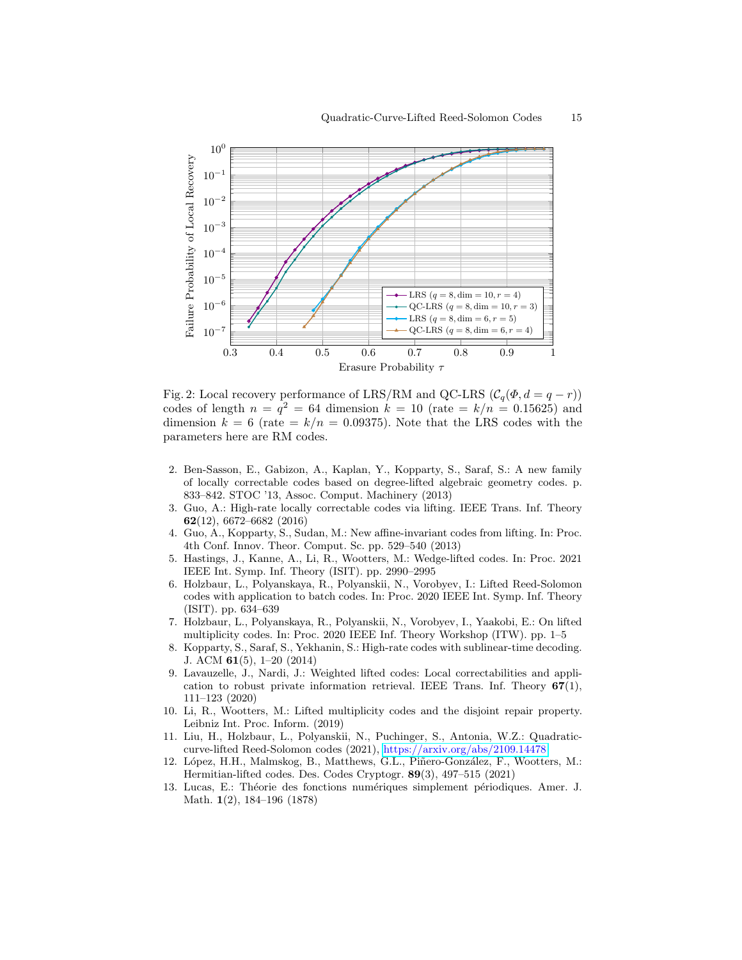<span id="page-14-12"></span>

Fig. 2: Local recovery performance of LRS/RM and QC-LRS  $(C_q(\Phi, d = q - r))$ codes of length  $n = q^2 = 64$  dimension  $k = 10$  (rate  $= k/n = 0.15625$ ) and dimension  $k = 6$  (rate  $= k/n = 0.09375$ ). Note that the LRS codes with the parameters here are RM codes.

- <span id="page-14-5"></span>2. Ben-Sasson, E., Gabizon, A., Kaplan, Y., Kopparty, S., Saraf, S.: A new family of locally correctable codes based on degree-lifted algebraic geometry codes. p. 833–842. STOC '13, Assoc. Comput. Machinery (2013)
- <span id="page-14-6"></span>3. Guo, A.: High-rate locally correctable codes via lifting. IEEE Trans. Inf. Theory 62(12), 6672–6682 (2016)
- <span id="page-14-0"></span>4. Guo, A., Kopparty, S., Sudan, M.: New affine-invariant codes from lifting. In: Proc. 4th Conf. Innov. Theor. Comput. Sc. pp. 529–540 (2013)
- <span id="page-14-8"></span>5. Hastings, J., Kanne, A., Li, R., Wootters, M.: Wedge-lifted codes. In: Proc. 2021 IEEE Int. Symp. Inf. Theory (ISIT). pp. 2990–2995
- <span id="page-14-1"></span>6. Holzbaur, L., Polyanskaya, R., Polyanskii, N., Vorobyev, I.: Lifted Reed-Solomon codes with application to batch codes. In: Proc. 2020 IEEE Int. Symp. Inf. Theory (ISIT). pp. 634–639
- <span id="page-14-3"></span>7. Holzbaur, L., Polyanskaya, R., Polyanskii, N., Vorobyev, I., Yaakobi, E.: On lifted multiplicity codes. In: Proc. 2020 IEEE Inf. Theory Workshop (ITW). pp. 1–5
- <span id="page-14-4"></span>8. Kopparty, S., Saraf, S., Yekhanin, S.: High-rate codes with sublinear-time decoding. J. ACM 61(5), 1–20 (2014)
- <span id="page-14-9"></span>9. Lavauzelle, J., Nardi, J.: Weighted lifted codes: Local correctabilities and application to robust private information retrieval. IEEE Trans. Inf. Theory  $67(1)$ , 111–123 (2020)
- <span id="page-14-2"></span>10. Li, R., Wootters, M.: Lifted multiplicity codes and the disjoint repair property. Leibniz Int. Proc. Inform. (2019)
- <span id="page-14-11"></span>11. Liu, H., Holzbaur, L., Polyanskii, N., Puchinger, S., Antonia, W.Z.: Quadraticcurve-lifted Reed-Solomon codes (2021), <https://arxiv.org/abs/2109.14478>
- <span id="page-14-7"></span>12. López, H.H., Malmskog, B., Matthews, G.L., Piñero-González, F., Wootters, M.: Hermitian-lifted codes. Des. Codes Cryptogr. 89(3), 497–515 (2021)
- <span id="page-14-10"></span>13. Lucas, E.: Théorie des fonctions numériques simplement périodiques. Amer. J. Math. 1(2), 184–196 (1878)